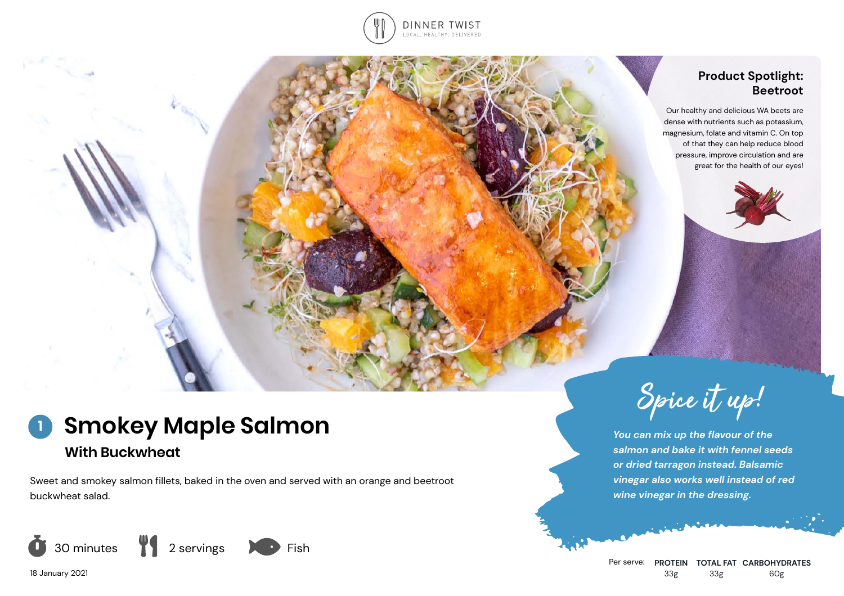

## **Product Spotlight: Beetroot**

Our healthy and delicious WA beets are dense with nutrients such as potassium, magnesium, folate and vitamin C. On top of that they can help reduce blood pressure, improve circulation and are great for the health of our eyes!





*You can mix up the flavour of the salmon and bake it with fennel seeds or dried tarragon instead. Balsamic vinegar also works well instead of red wine vinegar in the dressing.*

# **Smokey Maple Salmon With Buckwheat 1**

Sweet and smokey salmon fillets, baked in the oven and served with an orange and beetroot buckwheat salad.



18 January 2021

Per serve: **PROTEIN TOTAL FAT CARBOHYDRATES** 33g 33g 60g